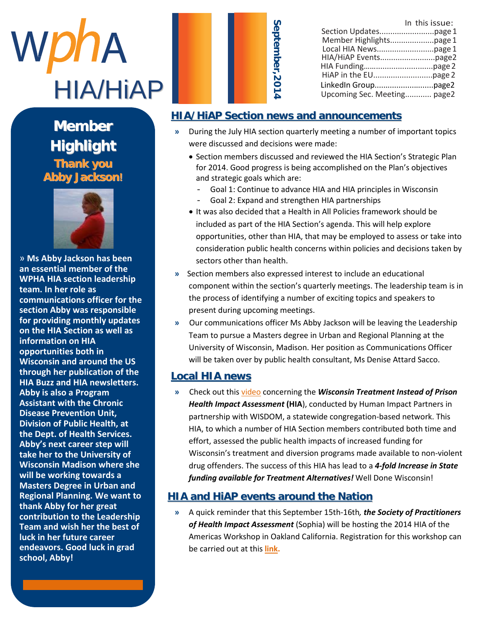

**Member** Thank you **Highlight**  $\mathcal{L}$  as  $\mathcal{L}$  as  $\mathcal{L}$  as  $\mathcal{L}$ **Abby Jackson! Member Thank you**



» Ms Abby Jackson has been an essential member of the **WPHA HIA section leadership** team. In her role as **wee communications officer for the section Abby was responsible** for providing monthly updates on the HIA Section as well as **information on HIA information opportunities both in Wisconsin and around the US** through her publication of the **HIA Buzz and HIA newsletters.** Abby is also a Program **Assistant with the Chronic Disease Prevention Unit, Division of Public Health, at** the Dept. of Health Services. **The Sept.** Abby's next career step will take her to the **take her to the University of Wisconsin Madison where she** will be working towards a **will Masters Degree in Urban and Regional Planning. We want to thank Abby for her great Region** contribution to the Leadership **Team and wish her the best of luck in her future career** endeavors. Good luck in grad  $\mathsf{school}$  , Abby!  $\blacksquare$ 

luck in grad school,

Abby!

| Sept |
|------|
| ನೆ   |
| mber |
|      |
|      |
|      |
|      |

|                             | In this issue: |
|-----------------------------|----------------|
|                             |                |
| Member Highlightspage 1     |                |
|                             |                |
|                             |                |
|                             |                |
|                             |                |
|                             |                |
| Upcoming Sec. Meeting page2 |                |

#### **HIA/HiAP Section news and announcements**

- **»** During the July HIA section quarterly meeting a number of important topics were discussed and decisions were made:
	- Section members discussed and reviewed the HIA Section's Strategic Plan for 2014. Good progress is being accomplished on the Plan's objectives and strategic goals which are:
		- Goal 1: Continue to advance HIA and HIA principles in Wisconsin
		- Goal 2: Expand and strengthen HIA partnerships
	- It was also decided that a Health in All Policies framework should be included as part of the HIA Section's agenda. This will help explore opportunities, other than HIA, that may be employed to assess or take into consideration public health concerns within policies and decisions taken by sectors other than health.
- **»** Section members also expressed interest to include an educational component within the section's quarterly meetings. The leadership team is in the process of identifying a number of exciting topics and speakers to present during upcoming meetings.
- **»** Our communications officer Ms Abby Jackson will be leaving the Leadership Team to pursue a Masters degree in Urban and Regional Planning at the University of Wisconsin, Madison. Her position as Communications Officer will be taken over by public health consultant, Ms Denise Attard Sacco.

#### **Local HIA news**

**»** Check out this [video](http://www.humanimpact.org/projects/hia-case-stories/treatment-instead-of-prison-hia/) concerning the *Wisconsin Treatment Instead of Prison Health Impact Assessment* **(HIA**), conducted by Human Impact Partners in partnership with WISDOM, a statewide congregation-based network. This HIA, to which a number of HIA Section members contributed both time and effort, assessed the public health impacts of increased funding for Wisconsin's treatment and diversion programs made available to non-violent drug offenders. The success of this HIA has lead to a *4-fold Increase in State funding available for Treatment Alternatives!* Well Done Wisconsin!

#### **HIA and HiAP events around the Nation**

**»** A quick reminder that this September 15th-16th*, the Society of Practitioners of Health Impact Assessment* (Sophia) will be hosting the 2014 HIA of the Americas Workshop in Oakland California. Registration for this workshop can be carried out at this **[link.](http://hiasociety.org/?p=456&utm_campaign=2014-07-23%20HIP.html&utm_medium=email&utm_source=Eloqua)**